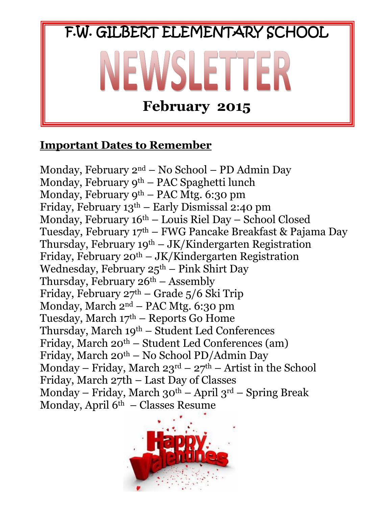

#### **Important Dates to Remember**

Monday, February 2nd – No School – PD Admin Day Monday, February 9<sup>th</sup> – PAC Spaghetti lunch Monday, February 9th – PAC Mtg. 6:30 pm Friday, February 13th – Early Dismissal 2:40 pm Monday, February  $16<sup>th</sup>$  – Louis Riel Day – School Closed Tuesday, February 17th – FWG Pancake Breakfast & Pajama Day Thursday, February  $19^{th} - JK/K$ indergarten Registration Friday, February  $20^{th} - JK/K$ indergarten Registration Wednesday, February  $25<sup>th</sup>$  – Pink Shirt Day Thursday, February  $26<sup>th</sup>$  – Assembly Friday, February  $27<sup>th</sup>$  – Grade 5/6 Ski Trip Monday, March 2nd – PAC Mtg. 6:30 pm Tuesday, March  $17<sup>th</sup>$  – Reports Go Home Thursday, March 19th – Student Led Conferences Friday, March  $20^{th}$  – Student Led Conferences (am) Friday, March 20th – No School PD/Admin Day Monday – Friday, March  $23<sup>rd</sup>$  –  $27<sup>th</sup>$  – Artist in the School Friday, March 27th – Last Day of Classes Monday – Friday, March  $30<sup>th</sup>$  – April  $3<sup>rd</sup>$  – Spring Break Monday, April 6th – Classes Resume

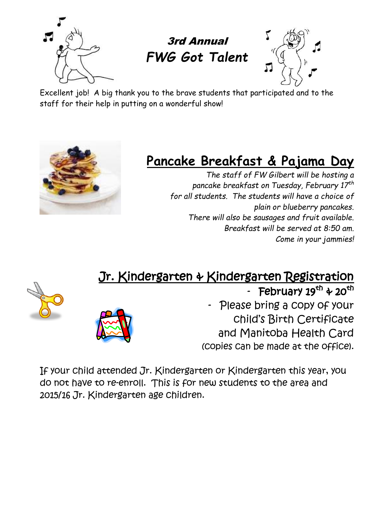





Excellent job! A big thank you to the brave students that participated and to the staff for their help in putting on a wonderful show!



# **Pancake Breakfast & Pajama Day**

*The staff of FW Gilbert will be hosting a pancake breakfast on Tuesday, February 17th for all students. The students will have a choice of plain or blueberry pancakes. There will also be sausages and fruit available. Breakfast will be served at 8:50 am. Come in your jammies!*

## Jr. Kindergarten & Kindergarten Registration





- February 19<sup>th</sup> & 20<sup>th</sup>

Please bring a copy of your child's Birth Certificate and Manitoba Health Card (copies can be made at the office).

If your child attended Jr. Kindergarten or Kindergarten this year, you do not have to re-enroll. This is for new students to the area and 2015/16 Jr. Kindergarten age children.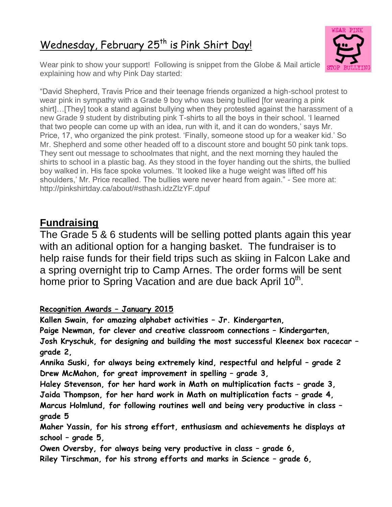### Wednesday, February 25<sup>th</sup> is Pink Shirt Day!



Wear pink to show your support! Following is snippet from the Globe & Mail article explaining how and why Pink Day started:

"David Shepherd, Travis Price and their teenage friends organized a high-school protest to wear pink in sympathy with a Grade 9 boy who was being bullied [for wearing a pink shirt]…[They] took a stand against bullying when they protested against the harassment of a new Grade 9 student by distributing pink T-shirts to all the boys in their school. "I learned that two people can come up with an idea, run with it, and it can do wonders," says Mr. Price, 17, who organized the pink protest. "Finally, someone stood up for a weaker kid." So Mr. Shepherd and some other headed off to a discount store and bought 50 pink tank tops. They sent out message to schoolmates that night, and the next morning they hauled the shirts to school in a plastic bag. As they stood in the foyer handing out the shirts, the bullied boy walked in. His face spoke volumes. "It looked like a huge weight was lifted off his shoulders,' Mr. Price recalled. The bullies were never heard from again." - See more at: http://pinkshirtday.ca/about/#sthash.idzZlzYF.dpuf

#### **Fundraising**

The Grade 5 & 6 students will be selling potted plants again this year with an aditional option for a hanging basket. The fundraiser is to help raise funds for their field trips such as skiing in Falcon Lake and a spring overnight trip to Camp Arnes. The order forms will be sent home prior to Spring Vacation and are due back April 10<sup>th</sup>.

#### **Recognition Awards – January 2015**

**Kallen Swain, for amazing alphabet activities – Jr. Kindergarten, Paige Newman, for clever and creative classroom connections – Kindergarten, Josh Kryschuk, for designing and building the most successful Kleenex box racecar – grade 2,**

**Annika Suski, for always being extremely kind, respectful and helpful – grade 2 Drew McMahon, for great improvement in spelling – grade 3,** 

**Haley Stevenson, for her hard work in Math on multiplication facts – grade 3, Jaida Thompson, for her hard work in Math on multiplication facts – grade 4, Marcus Holmlund, for following routines well and being very productive in class – grade 5**

**Maher Yassin, for his strong effort, enthusiasm and achievements he displays at school – grade 5,**

Owen Oversby, for always being very productive in class - grade 6, **Riley Tirschman, for his strong efforts and marks in Science – grade 6,**